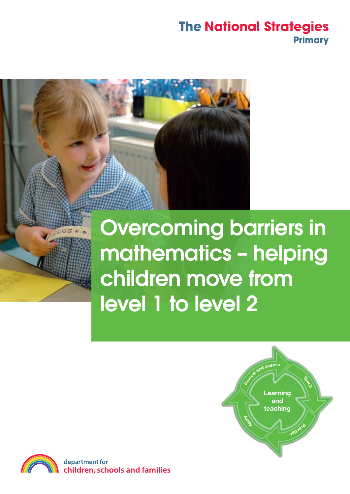

 $372x$ 

# Overcoming barriers in mathematics – helping children move from level 1 to level 2





department for children, schools and families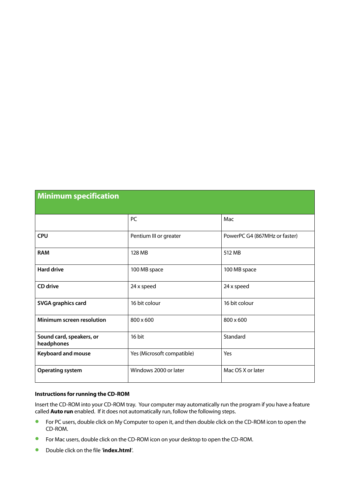| <b>Minimum specification</b>           |                            |                               |
|----------------------------------------|----------------------------|-------------------------------|
|                                        | PC                         | Mac                           |
| <b>CPU</b>                             | Pentium III or greater     | PowerPC G4 (867MHz or faster) |
| <b>RAM</b>                             | 128 MB                     | 512 MB                        |
| <b>Hard drive</b>                      | 100 MB space               | 100 MB space                  |
| CD drive                               | 24 x speed                 | 24 x speed                    |
| <b>SVGA graphics card</b>              | 16 bit colour              | 16 bit colour                 |
| Minimum screen resolution              | 800 x 600                  | 800 x 600                     |
| Sound card, speakers, or<br>headphones | 16 bit                     | Standard                      |
| <b>Keyboard and mouse</b>              | Yes (Microsoft compatible) | Yes                           |
| <b>Operating system</b>                | Windows 2000 or later      | Mac OS X or later             |

#### **Instructions for running the CD-ROM**

Insert the CD-ROM into your CD-ROM tray. Your computer may automatically run the program if you have a feature called **Auto run** enabled. If it does not automatically run, follow the following steps.

- **•** For PC users, double click on My Computer to open it, and then double click on the CD-ROM icon to open the CD-ROM.
- **•** For Mac users, double click on the CD-ROM icon on your desktop to open the CD-ROM.
- **•**  Double click on the file '**index.html**'.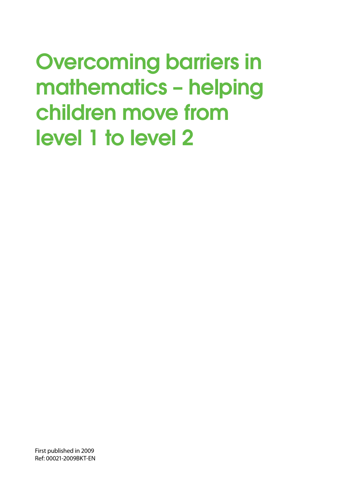First published in 2009 Ref: 00021-2009BKT-EN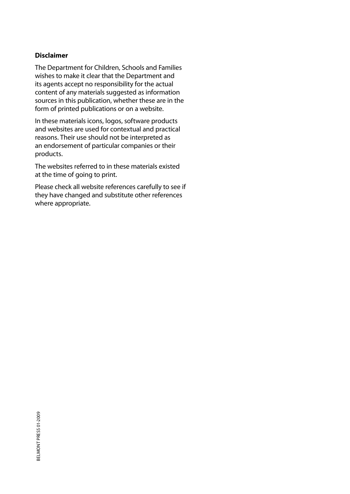### **Disclaimer**

The Department for Children, Schools and Families wishes to make it clear that the Department and its agents accept no responsibility for the actual content of any materials suggested as information sources in this publication, whether these are in the form of printed publications or on a website.

In these materials icons, logos, software products and websites are used for contextual and practical reasons. Their use should not be interpreted as an endorsement of particular companies or their products.

The websites referred to in these materials existed at the time of going to print.

Please check all website references carefully to see if they have changed and substitute other references where appropriate.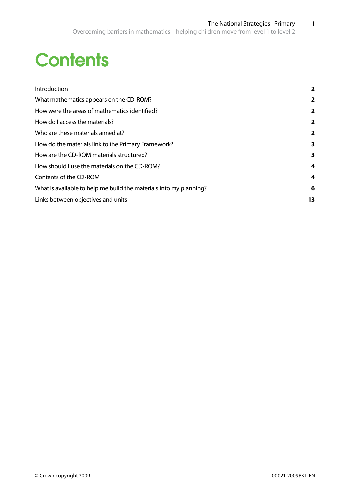# **Contents**

| Introduction                                                       | $\overline{\mathbf{2}}$ |
|--------------------------------------------------------------------|-------------------------|
| What mathematics appears on the CD-ROM?                            | 2                       |
| How were the areas of mathematics identified?                      | 2                       |
| How do I access the materials?                                     | 2                       |
| Who are these materials aimed at?                                  | 2                       |
| How do the materials link to the Primary Framework?                | 3                       |
| How are the CD-ROM materials structured?                           | 3                       |
| How should I use the materials on the CD-ROM?                      | 4                       |
| Contents of the CD-ROM                                             | 4                       |
| What is available to help me build the materials into my planning? | 6                       |
| Links between objectives and units                                 | 13                      |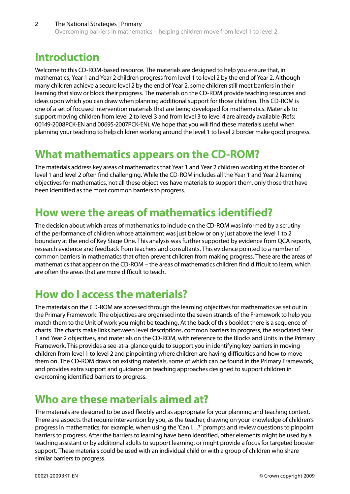# **Introduction**

Welcome to this CD-ROM-based resource. The materials are designed to help you ensure that, in mathematics, Year 1 and Year 2 children progress from level 1 to level 2 by the end of Year 2. Although many children achieve a secure level 2 by the end of Year 2, some children still meet barriers in their learning that slow or block their progress. The materials on the CD-ROM provide teaching resources and ideas upon which you can draw when planning additional support for those children. This CD-ROM is one of a set of focused intervention materials that are being developed for mathematics. Materials to support moving children from level 2 to level 3 and from level 3 to level 4 are already available (Refs: 00149-2008PCK-EN and 00695-2007PCK-EN). We hope that you will find these materials useful when planning your teaching to help children working around the level 1 to level 2 border make good progress.

# **What mathematics appears on the CD-ROM?**

The materials address key areas of mathematics that Year 1 and Year 2 children working at the border of level 1 and level 2 often find challenging. While the CD-ROM includes all the Year 1 and Year 2 learning objectives for mathematics, not all these objectives have materials to support them, only those that have been identified as the most common barriers to progress.

# **How were the areas of mathematics identified?**

The decision about which areas of mathematics to include on the CD-ROM was informed by a scrutiny of the performance of children whose attainment was just below or only just above the level 1 to 2 boundary at the end of Key Stage One. This analysis was further supported by evidence from QCA reports, research evidence and feedback from teachers and consultants. This evidence pointed to a number of common barriers in mathematics that often prevent children from making progress. These are the areas of mathematics that appear on the CD-ROM – the areas of mathematics children find difficult to learn, which are often the areas that are more difficult to teach.

# **How do I access the materials?**

The materials on the CD-ROM are accessed through the learning objectives for mathematics as set out in the Primary Framework. The objectives are organised into the seven strands of the Framework to help you match them to the Unit of work you might be teaching. At the back of this booklet there is a sequence of charts. The charts make links between level descriptions, common barriers to progress, the associated Year 1 and Year 2 objectives, and materials on the CD-ROM, with reference to the Blocks and Units in the Primary Framework. This provides a see-at-a-glance guide to support you in identifying key barriers in moving children from level 1 to level 2 and pinpointing where children are having difficulties and how to move them on. The CD-ROM draws on existing materials, some of which can be found in the Primary Framework, and provides extra support and guidance on teaching approaches designed to support children in overcoming identified barriers to progress.

# **Who are these materials aimed at?**

The materials are designed to be used flexibly and as appropriate for your planning and teaching context. There are aspects that require intervention by you, as the teacher, drawing on your knowledge of children's progress in mathematics; for example, when using the 'Can I…?' prompts and review questions to pinpoint barriers to progress. After the barriers to learning have been identified, other elements might be used by a teaching assistant or by additional adults to support learning, or might provide a focus for targeted booster support. These materials could be used with an individual child or with a group of children who share similar barriers to progress.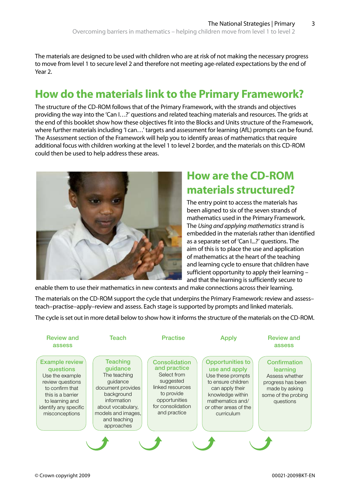The materials are designed to be used with children who are at risk of not making the necessary progress to move from level 1 to secure level 2 and therefore not meeting age-related expectations by the end of Year 2.

# **How do the materials link to the Primary Framework?**

The structure of the CD-ROM follows that of the Primary Framework, with the strands and objectives providing the way into the 'Can I…?' questions and related teaching materials and resources. The grids at the end of this booklet show how these objectives fit into the Blocks and Units structure of the Framework, where further materials including 'I can…' targets and assessment for learning (AfL) prompts can be found. The Assessment section of the Framework will help you to identify areas of mathematics that require additional focus with children working at the level 1 to level 2 border, and the materials on this CD-ROM could then be used to help address these areas.



# **How are the CD-ROM materials structured?**

The entry point to access the materials has been aligned to six of the seven strands of mathematics used in the Primary Framework. The *Using and applying mathematics* strand is embedded in the materials rather than identified as a separate set of 'Can I...?' questions. The aim of this is to place the use and application of mathematics at the heart of the teaching and learning cycle to ensure that children have sufficient opportunity to apply their learning – and that the learning is sufficiently secure to

enable them to use their mathematics in new contexts and make connections across their learning.

The materials on the CD-ROM support the cycle that underpins the Primary Framework: review and assess– teach–practise–apply–review and assess. Each stage is supported by prompts and linked materials.

The cycle is set out in more detail below to show how it informs the structure of the materials on the CD-ROM.

| <b>Review and</b><br>assess                                                                                                                                                     | Teach                                                                                                                                                                              | <b>Practise</b>                                                                                                                                          | <b>Apply</b>                                                                                                                                                                          | <b>Review and</b><br>assess                                                                                           |
|---------------------------------------------------------------------------------------------------------------------------------------------------------------------------------|------------------------------------------------------------------------------------------------------------------------------------------------------------------------------------|----------------------------------------------------------------------------------------------------------------------------------------------------------|---------------------------------------------------------------------------------------------------------------------------------------------------------------------------------------|-----------------------------------------------------------------------------------------------------------------------|
| <b>Example review</b><br>questions<br>Use the example<br>review questions<br>to confirm that<br>this is a barrier<br>to learning and<br>identify any specific<br>misconceptions | <b>Teaching</b><br>guidance<br>The teaching<br>quidance<br>document provides<br>background<br>information<br>about vocabulary,<br>models and images,<br>and teaching<br>approaches | <b>Consolidation</b><br>and practice<br>Select from<br>suggested<br>linked resources<br>to provide<br>opportunities<br>for consolidation<br>and practice | <b>Opportunities to</b><br>use and apply<br>Use these prompts<br>to ensure children<br>can apply their<br>knowledge within<br>mathematics and/<br>or other areas of the<br>curriculum | Confirmation<br>learning<br>Assess whether<br>progress has been<br>made by asking<br>some of the probing<br>questions |
|                                                                                                                                                                                 |                                                                                                                                                                                    |                                                                                                                                                          |                                                                                                                                                                                       |                                                                                                                       |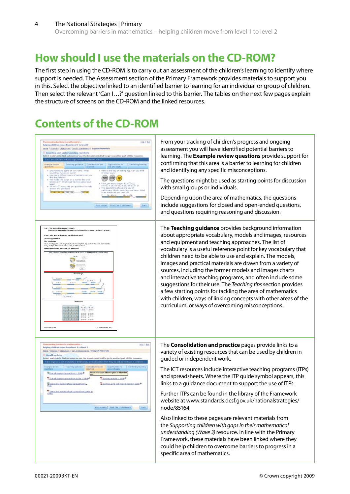# **How should I use the materials on the CD-ROM?**

The first step in using the CD-ROM is to carry out an assessment of the children's learning to identify where support is needed. The Assessment section of the Primary Framework provides materials to support you in this. Select the objective linked to an identified barrier to learning for an individual or group of children. Then select the relevant 'Can I…?' question linked to this barrier. The tables on the next few pages explain the structure of screens on the CD-ROM and the linked resources.

# **Contents of the CD-ROM**

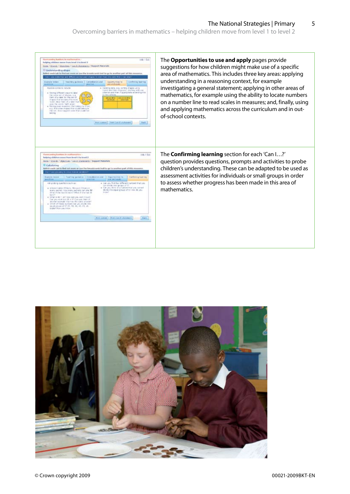| Overcombig bartlers in mothematics<br>Holly 1 East<br>bulgdos; children energy from breed 1 to breed 2<br>thirds / Strands / Danchers / Carl II, Hungards / Report Nationals<br>Ill Understanding shape<br>Salect each tab to find aut increase are an the brandcruns trait to go to another part of this moment<br>an 3 jain coduction and differented distresser studied to also times into your than 3 can late<br>Conferring Martin<br><b>Teaching guidence   Longoldecon and</b><br>liscomunicae to<br><b>ESARCH INVMIR</b><br><b><i><i><u>SANSTRAN</u></i></i></b><br>unit and acids<br>PANDA COVA-12 INFLOR<br>. Handing data, a g. 10/9Hz drapes using<br>Lamit and Venn slegsare, starting with one<br>otherlan and then if appropriate entereding this<br>. Finding different ways to take<br>the bank out of shales, 4-4<br>there of a label for this pat of<br>Absent Allie<br><b>SHAWAY</b><br>tham that eclairs the word<br>locked, Mow Clash of a band Hark<br>uses the werds highl and/of-<br>. The long revery studenthes (that instancy be a nort<br># p. And other shapes that could beling in<br>this ext. Now loggest some that inside net<br><b>Suprational</b><br><b>Jort Luxest   Jimt Can II statement</b><br>Set.      | The Opportunities to use and apply pages provide<br>suggestions for how children might make use of a specific<br>area of mathematics. This includes three key areas: applying<br>understanding in a reasoning context, for example<br>investigating a general statement; applying in other areas of<br>mathematics, for example using the ability to locate numbers<br>on a number line to read scales in measures; and, finally, using<br>and applying mathematics across the curriculum and in out-<br>of-school contexts. |
|--------------------------------------------------------------------------------------------------------------------------------------------------------------------------------------------------------------------------------------------------------------------------------------------------------------------------------------------------------------------------------------------------------------------------------------------------------------------------------------------------------------------------------------------------------------------------------------------------------------------------------------------------------------------------------------------------------------------------------------------------------------------------------------------------------------------------------------------------------------------------------------------------------------------------------------------------------------------------------------------------------------------------------------------------------------------------------------------------------------------------------------------------------------------------------------------------------------------------------------------------|------------------------------------------------------------------------------------------------------------------------------------------------------------------------------------------------------------------------------------------------------------------------------------------------------------------------------------------------------------------------------------------------------------------------------------------------------------------------------------------------------------------------------|
| Overconing barriers in mathematics.<br>toric 1 Tod.<br>belping children move from level 1 to level 2<br>INSIN / Straigh / Objectives / Can 31 Statements / Support Moterfield<br>El Calcidativa<br>Gallect was the Lats by David and answer are usen that bewarkerweds trudt to go to annullary part of this resument<br>Exportant are for<br><b>Cardiottrig load tree</b><br><b>Expects review</b><br>Complete and<br>to an interal installation<br><b>And of Contract</b><br><b>HIGHLIGH</b><br>Ask probing towellone auch as-<br>. Earl you find four different numbers that you.<br>nan stede into groups of 37<br>+ Car pourties of a habite that you cannot<br>+ A base tubec 25 burs. She just it liams in<br>By the into equal groups of \$1 row the you<br>every backet, ricerately painets can also fill<br><b>Enigen?</b><br>60 at it she had \$3 lays! What it it's that \$1<br>burn?<br>a "stiffed is 40 + 2011 holes dark you won't it suit!<br>Early plus with suit 28 = 87 Cars solution of<br>arctfer expirals that has the same answer?<br>a strick of these incriters (at you ducks into<br>tel: of groups of 27.72, 73, 32, 45, 23, 18-<br>Eigherhiltow you know.<br>Port content.   Print Cas III (Astrono).<br><b>Ball</b> | The <b>Confirming learning</b> section for each 'Can I?'<br>question provides questions, prompts and activities to probe<br>children's understanding. These can be adapted to be used as<br>assessment activities for individuals or small groups in order<br>to assess whether progress has been made in this area of<br>mathematics.                                                                                                                                                                                       |

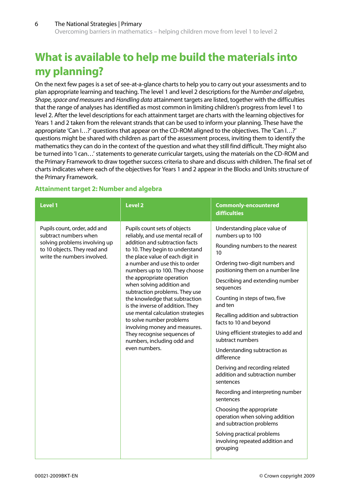# **What is available to help me build the materials into my planning?**

On the next few pages is a set of see-at-a-glance charts to help you to carry out your assessments and to plan appropriate learning and teaching. The level 1 and level 2 descriptions for the *Number and algebra*, *Shape, space and measures* and *Handling data* attainment targets are listed, together with the difficulties that the range of analyses has identified as most common in limiting children's progress from level 1 to level 2. After the level descriptions for each attainment target are charts with the learning objectives for Years 1 and 2 taken from the relevant strands that can be used to inform your planning. These have the appropriate 'Can I…?' questions that appear on the CD-ROM aligned to the objectives. The 'Can I…?' questions might be shared with children as part of the assessment process, inviting them to identify the mathematics they can do in the context of the question and what they still find difficult. They might also be turned into 'I can…' statements to generate curricular targets, using the materials on the CD-ROM and the Primary Framework to draw together success criteria to share and discuss with children. The final set of charts indicates where each of the objectives for Years 1 and 2 appear in the Blocks and Units structure of the Primary Framework.

### **Attainment target 2: Number and algebra**

| <b>Level 1</b>                                                                                                                                        | <b>Level 2</b>                                                                                                                                                                                                                                                                                                                                                                                                                                                                                                                                                                                    | <b>Commonly-encountered</b><br><b>difficulties</b>                                                                                                                                                                                                                                                                                                                                                                                                                                                                                                                                                                                                                                                                                                    |
|-------------------------------------------------------------------------------------------------------------------------------------------------------|---------------------------------------------------------------------------------------------------------------------------------------------------------------------------------------------------------------------------------------------------------------------------------------------------------------------------------------------------------------------------------------------------------------------------------------------------------------------------------------------------------------------------------------------------------------------------------------------------|-------------------------------------------------------------------------------------------------------------------------------------------------------------------------------------------------------------------------------------------------------------------------------------------------------------------------------------------------------------------------------------------------------------------------------------------------------------------------------------------------------------------------------------------------------------------------------------------------------------------------------------------------------------------------------------------------------------------------------------------------------|
| Pupils count, order, add and<br>subtract numbers when<br>solving problems involving up<br>to 10 objects. They read and<br>write the numbers involved. | Pupils count sets of objects<br>reliably, and use mental recall of<br>addition and subtraction facts<br>to 10. They begin to understand<br>the place value of each digit in<br>a number and use this to order<br>numbers up to 100. They choose<br>the appropriate operation<br>when solving addition and<br>subtraction problems. They use<br>the knowledge that subtraction<br>is the inverse of addition. They<br>use mental calculation strategies<br>to solve number problems<br>involving money and measures.<br>They recognise sequences of<br>numbers, including odd and<br>even numbers. | Understanding place value of<br>numbers up to 100<br>Rounding numbers to the nearest<br>10<br>Ordering two-digit numbers and<br>positioning them on a number line<br>Describing and extending number<br>sequences<br>Counting in steps of two, five<br>and ten<br>Recalling addition and subtraction<br>facts to 10 and beyond<br>Using efficient strategies to add and<br>subtract numbers<br>Understanding subtraction as<br>difference<br>Deriving and recording related<br>addition and subtraction number<br>sentences<br>Recording and interpreting number<br>sentences<br>Choosing the appropriate<br>operation when solving addition<br>and subtraction problems<br>Solving practical problems<br>involving repeated addition and<br>grouping |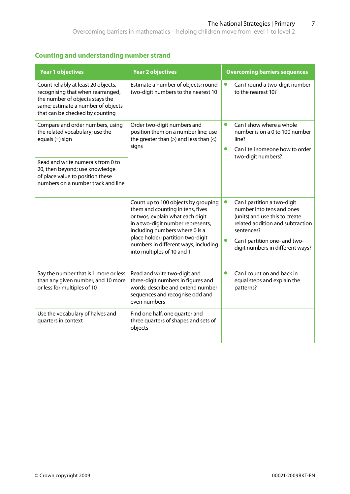### **Counting and understanding number strand**

| <b>Year 1 objectives</b>                                                                                                                                                             | <b>Year 2 objectives</b>                                                                                                                                                           | <b>Overcoming barriers sequences</b>                                                                                                         |
|--------------------------------------------------------------------------------------------------------------------------------------------------------------------------------------|------------------------------------------------------------------------------------------------------------------------------------------------------------------------------------|----------------------------------------------------------------------------------------------------------------------------------------------|
| Count reliably at least 20 objects,<br>recognising that when rearranged,<br>the number of objects stays the<br>same; estimate a number of objects<br>that can be checked by counting | Estimate a number of objects; round<br>two-digit numbers to the nearest 10                                                                                                         | Can I round a two-digit number<br>to the nearest 10?                                                                                         |
| Compare and order numbers, using<br>the related vocabulary; use the<br>equals $(=)$ sign                                                                                             | Order two-digit numbers and<br>position them on a number line; use<br>the greater than $(>)$ and less than $($ $<)$<br>signs                                                       | $\bullet$<br>Can I show where a whole<br>number is on a 0 to 100 number<br>line?<br>$\bullet$<br>Can I tell someone how to order             |
| Read and write numerals from 0 to<br>20, then beyond; use knowledge<br>of place value to position these<br>numbers on a number track and line                                        |                                                                                                                                                                                    | two-digit numbers?                                                                                                                           |
|                                                                                                                                                                                      | Count up to 100 objects by grouping<br>them and counting in tens, fives<br>or twos; explain what each digit<br>in a two-digit number represents,<br>including numbers where 0 is a | Can I partition a two-digit<br>number into tens and ones<br>(units) and use this to create<br>related addition and subtraction<br>sentences? |
|                                                                                                                                                                                      | place holder; partition two-digit<br>numbers in different ways, including<br>into multiples of 10 and 1                                                                            | Can I partition one- and two-<br>digit numbers in different ways?                                                                            |
| Say the number that is 1 more or less<br>than any given number, and 10 more<br>or less for multiples of 10                                                                           | Read and write two-digit and<br>three-digit numbers in figures and<br>words; describe and extend number<br>sequences and recognise odd and<br>even numbers                         | $\bullet$<br>Can I count on and back in<br>equal steps and explain the<br>patterns?                                                          |
| Use the vocabulary of halves and<br>quarters in context                                                                                                                              | Find one half, one quarter and<br>three quarters of shapes and sets of<br>objects                                                                                                  |                                                                                                                                              |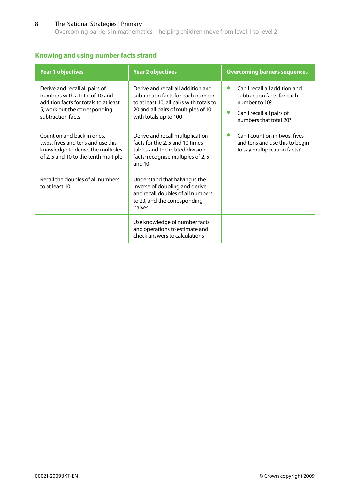Overcoming barriers in mathematics – helping children move from level 1 to level 2

## **Knowing and using number facts strand**

| <b>Year 1 objectives</b>                                                                                                                                        | <b>Year 2 objectives</b>                                                                                                                                                            | <b>Overcoming barriers sequences</b>                                                                                                                          |
|-----------------------------------------------------------------------------------------------------------------------------------------------------------------|-------------------------------------------------------------------------------------------------------------------------------------------------------------------------------------|---------------------------------------------------------------------------------------------------------------------------------------------------------------|
| Derive and recall all pairs of<br>numbers with a total of 10 and<br>addition facts for totals to at least<br>5; work out the corresponding<br>subtraction facts | Derive and recall all addition and<br>subtraction facts for each number<br>to at least 10, all pairs with totals to<br>20 and all pairs of multiples of 10<br>with totals up to 100 | Can I recall all addition and<br>$\bullet$<br>subtraction facts for each<br>number to 10?<br>$\bullet$<br>Can I recall all pairs of<br>numbers that total 20? |
| Count on and back in ones,<br>twos, fives and tens and use this<br>knowledge to derive the multiples<br>of 2, 5 and 10 to the tenth multiple                    | Derive and recall multiplication<br>facts for the 2, 5 and 10 times-<br>tables and the related division<br>facts; recognise multiples of 2, 5<br>and 10                             | Can I count on in twos, fives<br>$\bullet$<br>and tens and use this to begin<br>to say multiplication facts?                                                  |
| Recall the doubles of all numbers<br>to at least 10                                                                                                             | Understand that halving is the<br>inverse of doubling and derive<br>and recall doubles of all numbers<br>to 20, and the corresponding<br>halves                                     |                                                                                                                                                               |
|                                                                                                                                                                 | Use knowledge of number facts<br>and operations to estimate and<br>check answers to calculations                                                                                    |                                                                                                                                                               |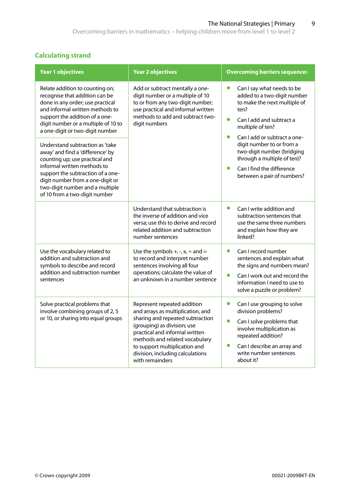# **Calculating strand**

| <b>Year 1 objectives</b>                                                                                                                                                                                                                                                                                                                                                                                                                                                                                                                  | <b>Year 2 objectives</b>                                                                                                                                                                                                                                                                        | <b>Overcoming barriers sequences</b>                                                                                                                                                                                                                                                                                                                                          |
|-------------------------------------------------------------------------------------------------------------------------------------------------------------------------------------------------------------------------------------------------------------------------------------------------------------------------------------------------------------------------------------------------------------------------------------------------------------------------------------------------------------------------------------------|-------------------------------------------------------------------------------------------------------------------------------------------------------------------------------------------------------------------------------------------------------------------------------------------------|-------------------------------------------------------------------------------------------------------------------------------------------------------------------------------------------------------------------------------------------------------------------------------------------------------------------------------------------------------------------------------|
| Relate addition to counting on;<br>recognise that addition can be<br>done in any order; use practical<br>and informal written methods to<br>support the addition of a one-<br>digit number or a multiple of 10 to<br>a one-digit or two-digit number<br>Understand subtraction as 'take<br>away' and find a 'difference' by<br>counting up; use practical and<br>informal written methods to<br>support the subtraction of a one-<br>digit number from a one-digit or<br>two-digit number and a multiple<br>of 10 from a two-digit number | Add or subtract mentally a one-<br>digit number or a multiple of 10<br>to or from any two-digit number;<br>use practical and informal written<br>methods to add and subtract two-<br>digit numbers                                                                                              | $\bullet$<br>Can I say what needs to be<br>added to a two-digit number<br>to make the next multiple of<br>ten?<br>$\bullet$<br>Can I add and subtract a<br>multiple of ten?<br>$\bullet$<br>Can I add or subtract a one-<br>digit number to or from a<br>two-digit number (bridging<br>through a multiple of ten)?<br>Can I find the difference<br>between a pair of numbers? |
|                                                                                                                                                                                                                                                                                                                                                                                                                                                                                                                                           | Understand that subtraction is<br>the inverse of addition and vice<br>versa; use this to derive and record<br>related addition and subtraction<br>number sentences                                                                                                                              | Can I write addition and<br>$\bullet$<br>subtraction sentences that<br>use the same three numbers<br>and explain how they are<br>linked?                                                                                                                                                                                                                                      |
| Use the vocabulary related to<br>addition and subtraction and<br>symbols to describe and record<br>addition and subtraction number<br>sentences                                                                                                                                                                                                                                                                                                                                                                                           | Use the symbols $+, \neg x, \div$ and =<br>to record and interpret number<br>sentences involving all four<br>operations; calculate the value of<br>an unknown in a number sentence                                                                                                              | $\bullet$<br>Can I record number<br>sentences and explain what<br>the signs and numbers mean?<br>$\bullet$<br>Can I work out and record the<br>information I need to use to<br>solve a puzzle or problem?                                                                                                                                                                     |
| Solve practical problems that<br>involve combining groups of 2, 5<br>or 10, or sharing into equal groups                                                                                                                                                                                                                                                                                                                                                                                                                                  | Represent repeated addition<br>and arrays as multiplication, and<br>sharing and repeated subtraction<br>(grouping) as division; use<br>practical and informal written<br>methods and related vocabulary<br>to support multiplication and<br>division, including calculations<br>with remainders | Can I use grouping to solve<br>$\bullet$<br>division problems?<br>$\bullet$<br>Can I solve problems that<br>involve multiplication as<br>repeated addition?<br>$\bullet$<br>Can I describe an array and<br>write number sentences<br>about it?                                                                                                                                |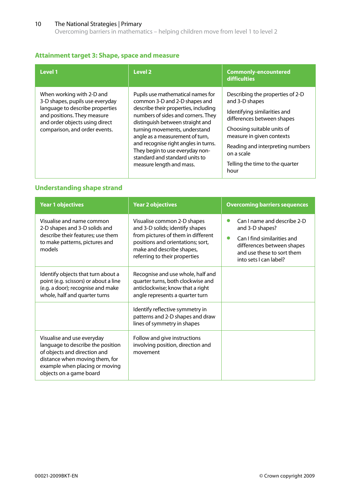Overcoming barriers in mathematics – helping children move from level 1 to level 2

### **Attainment target 3: Shape, space and measure**

| Level 1                                                                                                                                                                                           | Level <sub>2</sub>                                                                                                                                                                                                                                                                                                                                                                                | <b>Commonly-encountered</b><br><b>difficulties</b>                                                                                                                                                                                                                       |
|---------------------------------------------------------------------------------------------------------------------------------------------------------------------------------------------------|---------------------------------------------------------------------------------------------------------------------------------------------------------------------------------------------------------------------------------------------------------------------------------------------------------------------------------------------------------------------------------------------------|--------------------------------------------------------------------------------------------------------------------------------------------------------------------------------------------------------------------------------------------------------------------------|
| When working with 2-D and<br>3-D shapes, pupils use everyday<br>language to describe properties<br>and positions. They measure<br>and order objects using direct<br>comparison, and order events. | Pupils use mathematical names for<br>common 3-D and 2-D shapes and<br>describe their properties, including<br>numbers of sides and corners. They<br>distinguish between straight and<br>turning movements, understand<br>angle as a measurement of turn,<br>and recognise right angles in turns.<br>They begin to use everyday non-<br>standard and standard units to<br>measure length and mass. | Describing the properties of 2-D<br>and 3-D shapes<br>Identifying similarities and<br>differences between shapes<br>Choosing suitable units of<br>measure in given contexts<br>Reading and interpreting numbers<br>on a scale<br>Telling the time to the quarter<br>hour |

### **Understanding shape strand**

| <b>Year 1 objectives</b>                                                                                                                                                                       | <b>Year 2 objectives</b>                                                                                                                                                                                | <b>Overcoming barriers sequences</b>                                                                                                                                             |
|------------------------------------------------------------------------------------------------------------------------------------------------------------------------------------------------|---------------------------------------------------------------------------------------------------------------------------------------------------------------------------------------------------------|----------------------------------------------------------------------------------------------------------------------------------------------------------------------------------|
| Visualise and name common<br>2-D shapes and 3-D solids and<br>describe their features; use them<br>to make patterns, pictures and<br>models                                                    | Visualise common 2-D shapes<br>and 3-D solids; identify shapes<br>from pictures of them in different<br>positions and orientations; sort,<br>make and describe shapes,<br>referring to their properties | Can I name and describe 2-D<br>and 3-D shapes?<br>Can I find similarities and<br>$\bullet$<br>differences between shapes<br>and use these to sort them<br>into sets I can label? |
| Identify objects that turn about a<br>point (e.g. scissors) or about a line<br>(e.g. a door); recognise and make<br>whole, half and quarter turns                                              | Recognise and use whole, half and<br>quarter turns, both clockwise and<br>anticlockwise; know that a right<br>angle represents a quarter turn                                                           |                                                                                                                                                                                  |
|                                                                                                                                                                                                | Identify reflective symmetry in<br>patterns and 2-D shapes and draw<br>lines of symmetry in shapes                                                                                                      |                                                                                                                                                                                  |
| Visualise and use everyday<br>language to describe the position<br>of objects and direction and<br>distance when moving them, for<br>example when placing or moving<br>objects on a game board | Follow and give instructions<br>involving position, direction and<br>movement                                                                                                                           |                                                                                                                                                                                  |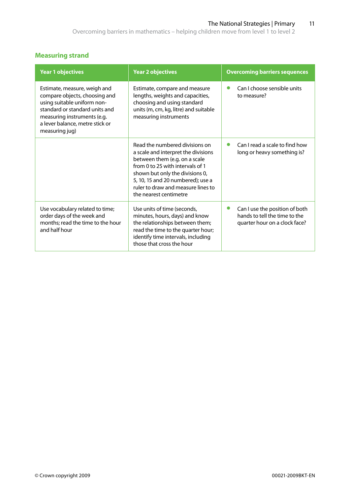# **Measuring strand**

| <b>Year 1 objectives</b>                                                                                                                                                                                           | <b>Year 2 objectives</b>                                                                                                                                                                                                                                                           | <b>Overcoming barriers sequences</b>                                                                          |
|--------------------------------------------------------------------------------------------------------------------------------------------------------------------------------------------------------------------|------------------------------------------------------------------------------------------------------------------------------------------------------------------------------------------------------------------------------------------------------------------------------------|---------------------------------------------------------------------------------------------------------------|
| Estimate, measure, weigh and<br>compare objects, choosing and<br>using suitable uniform non-<br>standard or standard units and<br>measuring instruments (e.g.<br>a lever balance, metre stick or<br>measuring jug) | Estimate, compare and measure<br>lengths, weights and capacities,<br>choosing and using standard<br>units (m, cm, kg, litre) and suitable<br>measuring instruments                                                                                                                 | Can I choose sensible units<br>●<br>to measure?                                                               |
|                                                                                                                                                                                                                    | Read the numbered divisions on<br>a scale and interpret the divisions<br>between them (e.g. on a scale<br>from 0 to 25 with intervals of 1<br>shown but only the divisions 0,<br>5, 10, 15 and 20 numbered); use a<br>ruler to draw and measure lines to<br>the nearest centimetre | Can I read a scale to find how<br>0<br>long or heavy something is?                                            |
| Use vocabulary related to time;<br>order days of the week and<br>months; read the time to the hour<br>and half hour                                                                                                | Use units of time (seconds,<br>minutes, hours, days) and know<br>the relationships between them;<br>read the time to the quarter hour;<br>identify time intervals, including<br>those that cross the hour                                                                          | Can I use the position of both<br>$\bullet$<br>hands to tell the time to the<br>quarter hour on a clock face? |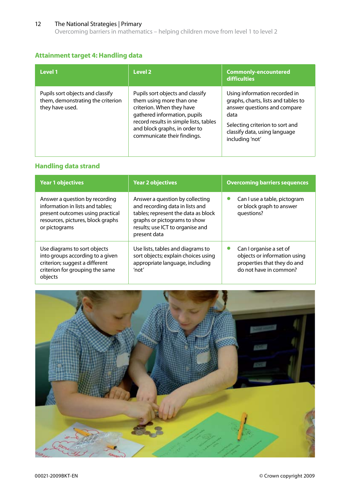Overcoming barriers in mathematics – helping children move from level 1 to level 2

### **Attainment target 4: Handling data**

| Level 1                                                                                  | Level 2                                                                                                                                                                                                                             | <b>Commonly-encountered</b><br><b>difficulties</b>                                                                                                                                                  |
|------------------------------------------------------------------------------------------|-------------------------------------------------------------------------------------------------------------------------------------------------------------------------------------------------------------------------------------|-----------------------------------------------------------------------------------------------------------------------------------------------------------------------------------------------------|
| Pupils sort objects and classify<br>them, demonstrating the criterion<br>they have used. | Pupils sort objects and classify<br>them using more than one<br>criterion. When they have<br>gathered information, pupils<br>record results in simple lists, tables<br>and block graphs, in order to<br>communicate their findings. | Using information recorded in<br>graphs, charts, lists and tables to<br>answer questions and compare<br>data<br>Selecting criterion to sort and<br>classify data, using language<br>including 'not' |

# **Handling data strand**

| <b>Year 1 objectives</b>                                                                                                                                     | <b>Year 2 objectives</b>                                                                                                                                                                      | <b>Overcoming barriers sequences</b>                                                                             |
|--------------------------------------------------------------------------------------------------------------------------------------------------------------|-----------------------------------------------------------------------------------------------------------------------------------------------------------------------------------------------|------------------------------------------------------------------------------------------------------------------|
| Answer a question by recording<br>information in lists and tables;<br>present outcomes using practical<br>resources, pictures, block graphs<br>or pictograms | Answer a question by collecting<br>and recording data in lists and<br>tables; represent the data as block<br>graphs or pictograms to show<br>results; use ICT to organise and<br>present data | Can I use a table, pictogram<br>or block graph to answer<br>questions?                                           |
| Use diagrams to sort objects<br>into groups according to a given<br>criterion; suggest a different<br>criterion for grouping the same<br>objects             | Use lists, tables and diagrams to<br>sort objects; explain choices using<br>appropriate language, including<br>'not'                                                                          | Can I organise a set of<br>objects or information using<br>properties that they do and<br>do not have in common? |

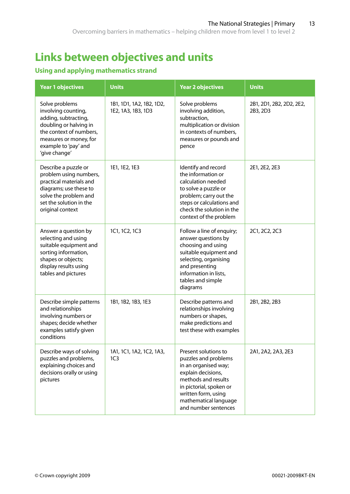# **Links between objectives and units**

# **Using and applying mathematics strand**

| <b>Year 1 objectives</b>                                                                                                                                                              | <b>Units</b>                                   | <b>Year 2 objectives</b>                                                                                                                                                                                             | <b>Units</b>                         |
|---------------------------------------------------------------------------------------------------------------------------------------------------------------------------------------|------------------------------------------------|----------------------------------------------------------------------------------------------------------------------------------------------------------------------------------------------------------------------|--------------------------------------|
| Solve problems<br>involving counting,<br>adding, subtracting,<br>doubling or halving in<br>the context of numbers,<br>measures or money, for<br>example to 'pay' and<br>'give change' | 1B1, 1D1, 1A2, 1B2, 1D2,<br>1E2, 1A3, 1B3, 1D3 | Solve problems<br>involving addition,<br>subtraction,<br>multiplication or division<br>in contexts of numbers,<br>measures or pounds and<br>pence                                                                    | 2B1, 2D1, 2B2, 2D2, 2E2,<br>2B3, 2D3 |
| Describe a puzzle or<br>problem using numbers,<br>practical materials and<br>diagrams; use these to<br>solve the problem and<br>set the solution in the<br>original context           | 1E1, 1E2, 1E3                                  | Identify and record<br>the information or<br>calculation needed<br>to solve a puzzle or<br>problem; carry out the<br>steps or calculations and<br>check the solution in the<br>context of the problem                | 2E1, 2E2, 2E3                        |
| Answer a question by<br>selecting and using<br>suitable equipment and<br>sorting information,<br>shapes or objects;<br>display results using<br>tables and pictures                   | 1C1, 1C2, 1C3                                  | Follow a line of enquiry;<br>answer questions by<br>choosing and using<br>suitable equipment and<br>selecting, organising<br>and presenting<br>information in lists,<br>tables and simple<br>diagrams                | 2C1, 2C2, 2C3                        |
| Describe simple patterns<br>and relationships<br>involving numbers or<br>shapes; decide whether<br>examples satisfy given<br>conditions                                               | 1B1, 1B2, 1B3, 1E3                             | Describe patterns and<br>relationships involving<br>numbers or shapes,<br>make predictions and<br>test these with examples                                                                                           | 2B1, 2B2, 2B3                        |
| Describe ways of solving<br>puzzles and problems,<br>explaining choices and<br>decisions orally or using<br>pictures                                                                  | 1A1, 1C1, 1A2, 1C2, 1A3,<br>1C <sub>3</sub>    | Present solutions to<br>puzzles and problems<br>in an organised way;<br>explain decisions,<br>methods and results<br>in pictorial, spoken or<br>written form, using<br>mathematical language<br>and number sentences | 2A1, 2A2, 2A3, 2E3                   |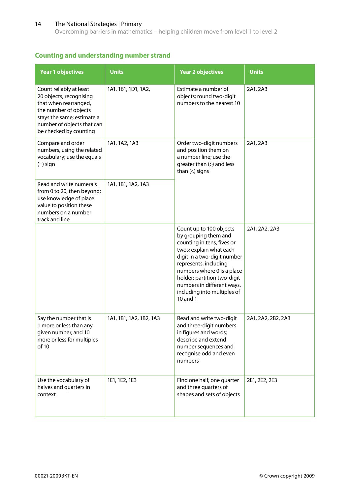Overcoming barriers in mathematics – helping children move from level 1 to level 2

### **Counting and understanding number strand**

| <b>Year 1 objectives</b>                                                                                                                                                                   | <b>Units</b>            | <b>Year 2 objectives</b>                                                                                                                                                                                                                                                                               | <b>Units</b>       |
|--------------------------------------------------------------------------------------------------------------------------------------------------------------------------------------------|-------------------------|--------------------------------------------------------------------------------------------------------------------------------------------------------------------------------------------------------------------------------------------------------------------------------------------------------|--------------------|
| Count reliably at least<br>20 objects, recognising<br>that when rearranged,<br>the number of objects<br>stays the same; estimate a<br>number of objects that can<br>be checked by counting | 1A1, 1B1, 1D1, 1A2,     | Estimate a number of<br>objects; round two-digit<br>numbers to the nearest 10                                                                                                                                                                                                                          | 2A1, 2A3           |
| Compare and order<br>numbers, using the related<br>vocabulary; use the equals<br>$(=)$ sign                                                                                                | 1A1, 1A2, 1A3           | Order two-digit numbers<br>and position them on<br>a number line; use the<br>greater than (>) and less<br>than $(<)$ signs                                                                                                                                                                             | 2A1, 2A3           |
| Read and write numerals<br>from 0 to 20, then beyond;<br>use knowledge of place<br>value to position these<br>numbers on a number<br>track and line                                        | 1A1, 1B1, 1A2, 1A3      |                                                                                                                                                                                                                                                                                                        |                    |
|                                                                                                                                                                                            |                         | Count up to 100 objects<br>by grouping them and<br>counting in tens, fives or<br>twos; explain what each<br>digit in a two-digit number<br>represents, including<br>numbers where 0 is a place<br>holder; partition two-digit<br>numbers in different ways,<br>including into multiples of<br>10 and 1 | 2A1, 2A2. 2A3      |
| Say the number that is<br>1 more or less than any<br>given number, and 10<br>more or less for multiples<br>of 10                                                                           | 1A1, 1B1, 1A2, 1B2, 1A3 | Read and write two-digit<br>and three-digit numbers<br>in figures and words;<br>describe and extend<br>number sequences and<br>recognise odd and even<br>numbers                                                                                                                                       | 2A1, 2A2, 2B2, 2A3 |
| Use the vocabulary of<br>halves and quarters in<br>context                                                                                                                                 | 1E1, 1E2, 1E3           | Find one half, one quarter<br>and three quarters of<br>shapes and sets of objects                                                                                                                                                                                                                      | 2E1, 2E2, 2E3      |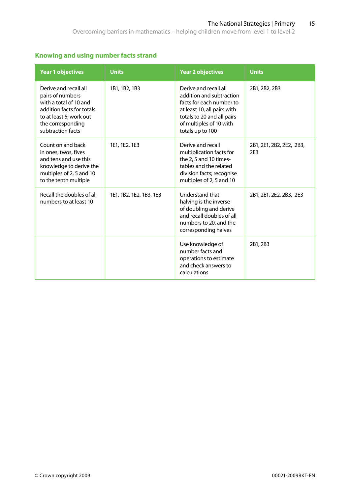# **Knowing and using number facts strand**

| <b>Year 1 objectives</b>                                                                                                                                              | <b>Units</b>            | <b>Year 2 objectives</b>                                                                                                                                                                  | <b>Units</b>                                |
|-----------------------------------------------------------------------------------------------------------------------------------------------------------------------|-------------------------|-------------------------------------------------------------------------------------------------------------------------------------------------------------------------------------------|---------------------------------------------|
| Derive and recall all<br>pairs of numbers<br>with a total of 10 and<br>addition facts for totals<br>to at least 5; work out<br>the corresponding<br>subtraction facts | 1B1, 1B2, 1B3           | Derive and recall all<br>addition and subtraction<br>facts for each number to<br>at least 10, all pairs with<br>totals to 20 and all pairs<br>of multiples of 10 with<br>totals up to 100 | 2B1, 2B2, 2B3                               |
| Count on and back<br>in ones, twos, fives<br>and tens and use this<br>knowledge to derive the<br>multiples of 2, 5 and 10<br>to the tenth multiple                    | 1E1, 1E2, 1E3           | Derive and recall<br>multiplication facts for<br>the 2, 5 and 10 times-<br>tables and the related<br>division facts; recognise<br>multiples of 2, 5 and 10                                | 2B1, 2E1, 2B2, 2E2, 2B3,<br>2E <sub>3</sub> |
| Recall the doubles of all<br>numbers to at least 10                                                                                                                   | 1E1, 1B2, 1E2, 1B3, 1E3 | Understand that<br>halving is the inverse<br>of doubling and derive<br>and recall doubles of all<br>numbers to 20, and the<br>corresponding halves                                        | 2B1, 2E1, 2E2, 2B3, 2E3                     |
|                                                                                                                                                                       |                         | Use knowledge of<br>number facts and<br>operations to estimate<br>and check answers to<br>calculations                                                                                    | 2B1, 2B3                                    |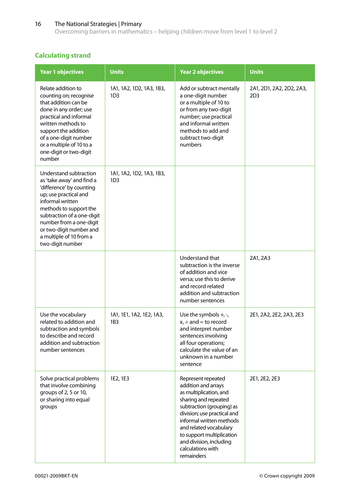Overcoming barriers in mathematics – helping children move from level 1 to level 2

# **Calculating strand**

| <b>Year 1 objectives</b>                                                                                                                                                                                                                                                                  | <b>Units</b>                                | <b>Year 2 objectives</b>                                                                                                                                                                                                                                                                                 | <b>Units</b>                                |
|-------------------------------------------------------------------------------------------------------------------------------------------------------------------------------------------------------------------------------------------------------------------------------------------|---------------------------------------------|----------------------------------------------------------------------------------------------------------------------------------------------------------------------------------------------------------------------------------------------------------------------------------------------------------|---------------------------------------------|
| Relate addition to<br>counting on; recognise<br>that addition can be<br>done in any order; use<br>practical and informal<br>written methods to<br>support the addition<br>of a one-digit number<br>or a multiple of 10 to a<br>one-digit or two-digit<br>number                           | 1A1, 1A2, 1D2, 1A3, 1B3,<br>1D <sub>3</sub> | Add or subtract mentally<br>a one-digit number<br>or a multiple of 10 to<br>or from any two-digit<br>number; use practical<br>and informal written<br>methods to add and<br>subtract two-digit<br>numbers                                                                                                | 2A1, 2D1, 2A2, 2D2, 2A3,<br>2D <sub>3</sub> |
| Understand subtraction<br>as 'take away' and find a<br>'difference' by counting<br>up; use practical and<br>informal written<br>methods to support the<br>subtraction of a one-digit<br>number from a one-digit<br>or two-digit number and<br>a multiple of 10 from a<br>two-digit number | 1A1, 1A2, 1D2, 1A3, 1B3,<br>1D <sub>3</sub> |                                                                                                                                                                                                                                                                                                          |                                             |
|                                                                                                                                                                                                                                                                                           |                                             | Understand that<br>subtraction is the inverse<br>of addition and vice<br>versa; use this to derive<br>and record related<br>addition and subtraction<br>number sentences                                                                                                                                 | 2A1, 2A3                                    |
| Use the vocabulary<br>related to addition and<br>subtraction and symbols<br>to describe and record<br>addition and subtraction<br>number sentences                                                                                                                                        | 1A1, 1E1, 1A2, 1E2, 1A3,<br>1B <sub>3</sub> | Use the symbols $+, \neg$ ,<br>$x_i \div and =$ to record<br>and interpret number<br>sentences involving<br>all four operations;<br>calculate the value of an<br>unknown in a number<br>sentence                                                                                                         | 2E1, 2A2, 2E2, 2A3, 2E3                     |
| Solve practical problems<br>that involve combining<br>groups of 2, 5 or 10,<br>or sharing into equal<br>groups                                                                                                                                                                            | 1E2, 1E3                                    | Represent repeated<br>addition and arrays<br>as multiplication, and<br>sharing and repeated<br>subtraction (grouping) as<br>division; use practical and<br>informal written methods<br>and related vocabulary<br>to support multiplication<br>and division, including<br>calculations with<br>remainders | 2E1, 2E2, 2E3                               |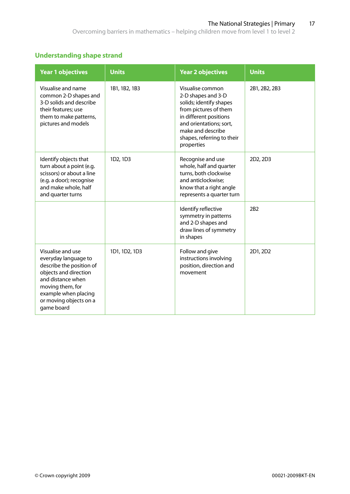### **Understanding shape strand**

| <b>Year 1 objectives</b>                                                                                                                                                                                | <b>Units</b>  | <b>Year 2 objectives</b>                                                                                                                                                                                         | <b>Units</b>  |
|---------------------------------------------------------------------------------------------------------------------------------------------------------------------------------------------------------|---------------|------------------------------------------------------------------------------------------------------------------------------------------------------------------------------------------------------------------|---------------|
| Visualise and name<br>common 2-D shapes and<br>3-D solids and describe<br>their features; use<br>them to make patterns,<br>pictures and models                                                          | 1B1, 1B2, 1B3 | Visualise common<br>2-D shapes and 3-D<br>solids; identify shapes<br>from pictures of them<br>in different positions<br>and orientations; sort,<br>make and describe<br>shapes, referring to their<br>properties | 2B1, 2B2, 2B3 |
| Identify objects that<br>turn about a point (e.g.<br>scissors) or about a line<br>(e.g. a door); recognise<br>and make whole, half<br>and quarter turns                                                 | 1D2, 1D3      | Recognise and use<br>whole, half and quarter<br>turns, both clockwise<br>and anticlockwise;<br>know that a right angle<br>represents a quarter turn                                                              | 2D2, 2D3      |
|                                                                                                                                                                                                         |               | Identify reflective<br>symmetry in patterns<br>and 2-D shapes and<br>draw lines of symmetry<br>in shapes                                                                                                         | 2B2           |
| Visualise and use<br>everyday language to<br>describe the position of<br>objects and direction<br>and distance when<br>moving them, for<br>example when placing<br>or moving objects on a<br>game board | 1D1, 1D2, 1D3 | Follow and give<br>instructions involving<br>position, direction and<br>movement                                                                                                                                 | 2D1, 2D2      |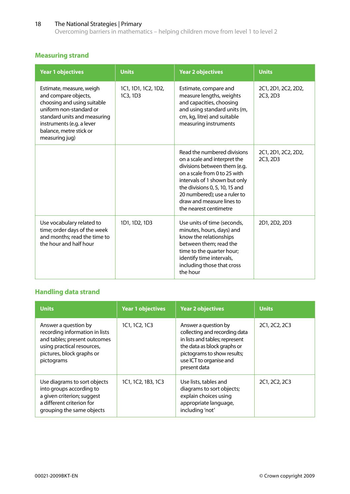Overcoming barriers in mathematics – helping children move from level 1 to level 2

# **Measuring strand**

| <b>Year 1 objectives</b>                                                                                                                                                                                             | <b>Units</b>                    | <b>Year 2 objectives</b>                                                                                                                                                                                                                                                              | <b>Units</b>                    |
|----------------------------------------------------------------------------------------------------------------------------------------------------------------------------------------------------------------------|---------------------------------|---------------------------------------------------------------------------------------------------------------------------------------------------------------------------------------------------------------------------------------------------------------------------------------|---------------------------------|
| Estimate, measure, weigh<br>and compare objects,<br>choosing and using suitable<br>uniform non-standard or<br>standard units and measuring<br>instruments (e.g. a lever<br>balance, metre stick or<br>measuring jug) | 1C1, 1D1, 1C2, 1D2,<br>1C3, 1D3 | Estimate, compare and<br>measure lengths, weights<br>and capacities, choosing<br>and using standard units (m,<br>cm, kg, litre) and suitable<br>measuring instruments                                                                                                                 | 2C1, 2D1, 2C2, 2D2,<br>2C3, 2D3 |
|                                                                                                                                                                                                                      |                                 | Read the numbered divisions<br>on a scale and interpret the<br>divisions between them (e.g.<br>on a scale from 0 to 25 with<br>intervals of 1 shown but only<br>the divisions 0, 5, 10, 15 and<br>20 numbered); use a ruler to<br>draw and measure lines to<br>the nearest centimetre | 2C1, 2D1, 2C2, 2D2,<br>2C3, 2D3 |
| Use vocabulary related to<br>time; order days of the week<br>and months; read the time to<br>the hour and half hour                                                                                                  | 1D1, 1D2, 1D3                   | Use units of time (seconds,<br>minutes, hours, days) and<br>know the relationships<br>between them; read the<br>time to the quarter hour;<br>identify time intervals,<br>including those that cross<br>the hour                                                                       | 2D1, 2D2, 2D3                   |

## **Handling data strand**

| <b>Units</b>                                                                                                                                                    | <b>Year 1 objectives</b> | <b>Year 2 objectives</b>                                                                                                                                                                         | <b>Units</b>  |
|-----------------------------------------------------------------------------------------------------------------------------------------------------------------|--------------------------|--------------------------------------------------------------------------------------------------------------------------------------------------------------------------------------------------|---------------|
| Answer a question by<br>recording information in lists<br>and tables; present outcomes<br>using practical resources,<br>pictures, block graphs or<br>pictograms | 1C1, 1C2, 1C3            | Answer a question by<br>collecting and recording data<br>in lists and tables; represent<br>the data as block graphs or<br>pictograms to show results;<br>use ICT to organise and<br>present data | 2C1, 2C2, 2C3 |
| Use diagrams to sort objects<br>into groups according to<br>a given criterion; suggest<br>a different criterion for<br>grouping the same objects                | 1C1, 1C2, 1B3, 1C3       | Use lists, tables and<br>diagrams to sort objects;<br>explain choices using<br>appropriate language,<br>including 'not'                                                                          | 2C1, 2C2, 2C3 |